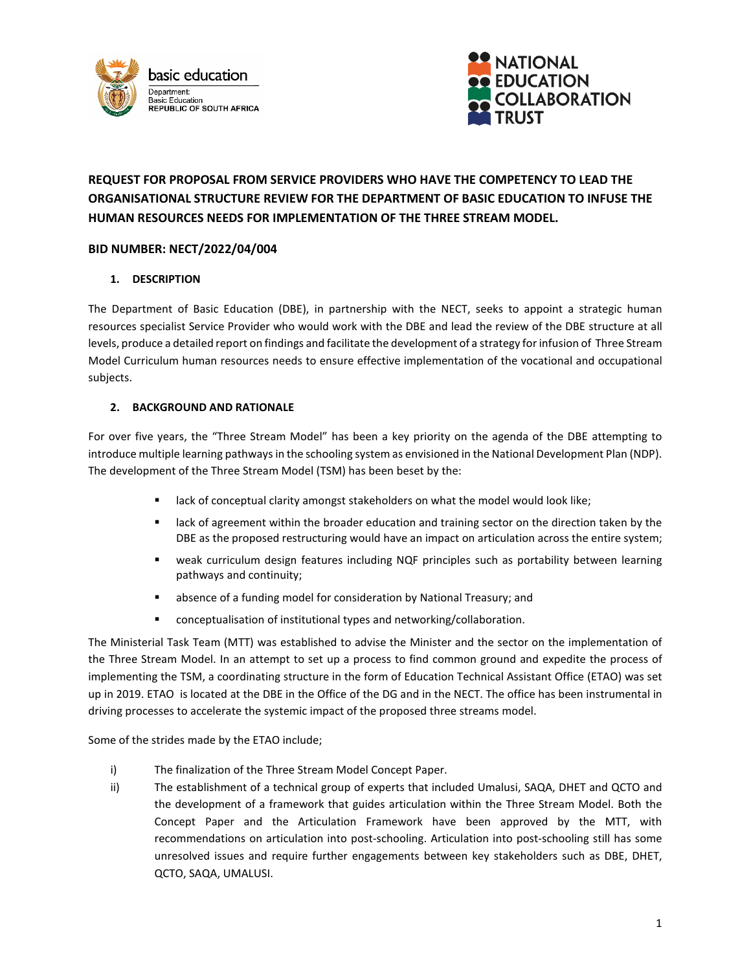



# **REQUEST FOR PROPOSAL FROM SERVICE PROVIDERS WHO HAVE THE COMPETENCY TO LEAD THE ORGANISATIONAL STRUCTURE REVIEW FOR THE DEPARTMENT OF BASIC EDUCATION TO INFUSE THE HUMAN RESOURCES NEEDS FOR IMPLEMENTATION OF THE THREE STREAM MODEL.**

## **BID NUMBER: NECT/2022/04/004**

## **1. DESCRIPTION**

The Department of Basic Education (DBE), in partnership with the NECT, seeks to appoint a strategic human resources specialist Service Provider who would work with the DBE and lead the review of the DBE structure at all levels, produce a detailed report on findings and facilitate the development of a strategy forinfusion of Three Stream Model Curriculum human resources needs to ensure effective implementation of the vocational and occupational subjects.

#### **2. BACKGROUND AND RATIONALE**

For over five years, the "Three Stream Model" has been a key priority on the agenda of the DBE attempting to introduce multiple learning pathways in the schooling system as envisioned in the National Development Plan (NDP). The development of the Three Stream Model (TSM) has been beset by the:

- **EXECT** lack of conceptual clarity amongst stakeholders on what the model would look like;
- **EXECT** ack of agreement within the broader education and training sector on the direction taken by the DBE as the proposed restructuring would have an impact on articulation across the entire system;
- weak curriculum design features including NQF principles such as portability between learning pathways and continuity;
- absence of a funding model for consideration by National Treasury; and
- conceptualisation of institutional types and networking/collaboration.

The Ministerial Task Team (MTT) was established to advise the Minister and the sector on the implementation of the Three Stream Model. In an attempt to set up a process to find common ground and expedite the process of implementing the TSM, a coordinating structure in the form of Education Technical Assistant Office (ETAO) was set up in 2019. ETAO is located at the DBE in the Office of the DG and in the NECT. The office has been instrumental in driving processes to accelerate the systemic impact of the proposed three streams model.

Some of the strides made by the ETAO include;

- i) The finalization of the Three Stream Model Concept Paper.
- ii) The establishment of a technical group of experts that included Umalusi, SAQA, DHET and QCTO and the development of a framework that guides articulation within the Three Stream Model. Both the Concept Paper and the Articulation Framework have been approved by the MTT, with recommendations on articulation into post-schooling. Articulation into post-schooling still has some unresolved issues and require further engagements between key stakeholders such as DBE, DHET, QCTO, SAQA, UMALUSI.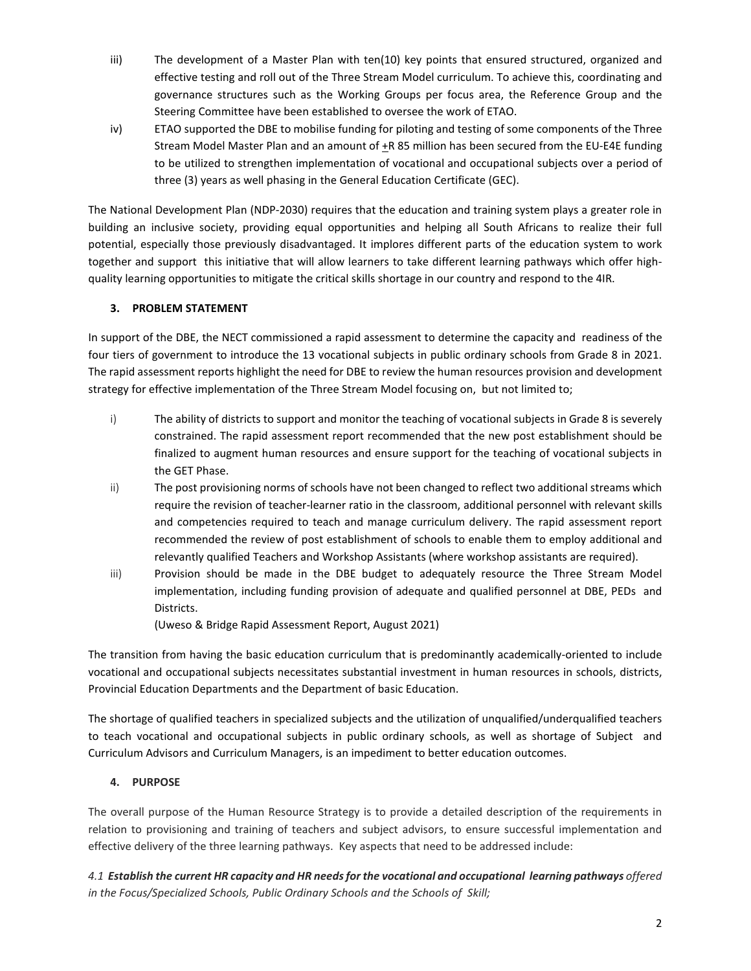- iii) The development of a Master Plan with ten(10) key points that ensured structured, organized and effective testing and roll out of the Three Stream Model curriculum. To achieve this, coordinating and governance structures such as the Working Groups per focus area, the Reference Group and the Steering Committee have been established to oversee the work of ETAO.
- iv) ETAO supported the DBE to mobilise funding for piloting and testing of some components of the Three Stream Model Master Plan and an amount of  $+R$  85 million has been secured from the EU-E4E funding to be utilized to strengthen implementation of vocational and occupational subjects over a period of three (3) years as well phasing in the General Education Certificate (GEC).

The National Development Plan (NDP-2030) requires that the education and training system plays a greater role in building an inclusive society, providing equal opportunities and helping all South Africans to realize their full potential, especially those previously disadvantaged. It implores different parts of the education system to work together and support this initiative that will allow learners to take different learning pathways which offer highquality learning opportunities to mitigate the critical skills shortage in our country and respond to the 4IR.

## **3. PROBLEM STATEMENT**

In support of the DBE, the NECT commissioned a rapid assessment to determine the capacity and readiness of the four tiers of government to introduce the 13 vocational subjects in public ordinary schools from Grade 8 in 2021. The rapid assessment reports highlight the need for DBE to review the human resources provision and development strategy for effective implementation of the Three Stream Model focusing on, but not limited to;

- i) The ability of districts to support and monitor the teaching of vocational subjects in Grade 8 is severely constrained. The rapid assessment report recommended that the new post establishment should be finalized to augment human resources and ensure support for the teaching of vocational subjects in the GET Phase.
- ii) The post provisioning norms of schools have not been changed to reflect two additional streams which require the revision of teacher-learner ratio in the classroom, additional personnel with relevant skills and competencies required to teach and manage curriculum delivery. The rapid assessment report recommended the review of post establishment of schools to enable them to employ additional and relevantly qualified Teachers and Workshop Assistants (where workshop assistants are required).
- iii) Provision should be made in the DBE budget to adequately resource the Three Stream Model implementation, including funding provision of adequate and qualified personnel at DBE, PEDs and Districts.

(Uweso & Bridge Rapid Assessment Report, August 2021)

The transition from having the basic education curriculum that is predominantly academically-oriented to include vocational and occupational subjects necessitates substantial investment in human resources in schools, districts, Provincial Education Departments and the Department of basic Education.

The shortage of qualified teachers in specialized subjects and the utilization of unqualified/underqualified teachers to teach vocational and occupational subjects in public ordinary schools, as well as shortage of Subject and Curriculum Advisors and Curriculum Managers, is an impediment to better education outcomes.

## **4. PURPOSE**

The overall purpose of the Human Resource Strategy is to provide a detailed description of the requirements in relation to provisioning and training of teachers and subject advisors, to ensure successful implementation and effective delivery of the three learning pathways. Key aspects that need to be addressed include:

*4.1 Establish the current HR capacity and HR needs for the vocational and occupational learning pathways offered in the Focus/Specialized Schools, Public Ordinary Schools and the Schools of Skill;*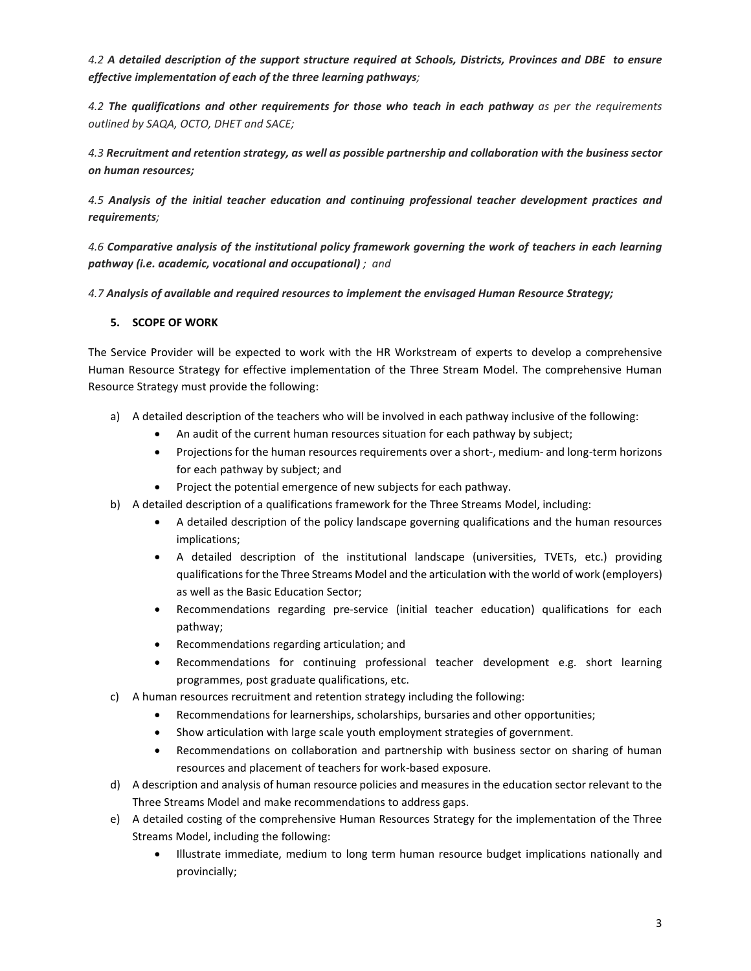*4.2 A detailed description of the support structure required at Schools, Districts, Provinces and DBE to ensure effective implementation of each of the three learning pathways;*

*4.2 The qualifications and other requirements for those who teach in each pathway as per the requirements outlined by SAQA, OCTO, DHET and SACE;*

*4.3 Recruitment and retention strategy, as well as possible partnership and collaboration with the business sector on human resources;*

*4.5 Analysis of the initial teacher education and continuing professional teacher development practices and requirements;*

*4.6 Comparative analysis of the institutional policy framework governing the work of teachers in each learning pathway (i.e. academic, vocational and occupational) ; and* 

*4.7 Analysis of available and required resources to implement the envisaged Human Resource Strategy;* 

#### **5. SCOPE OF WORK**

The Service Provider will be expected to work with the HR Workstream of experts to develop a comprehensive Human Resource Strategy for effective implementation of the Three Stream Model. The comprehensive Human Resource Strategy must provide the following:

- a) A detailed description of the teachers who will be involved in each pathway inclusive of the following:
	- An audit of the current human resources situation for each pathway by subject;
	- Projections for the human resources requirements over a short-, medium- and long-term horizons for each pathway by subject; and
	- Project the potential emergence of new subjects for each pathway.
- b) A detailed description of a qualifications framework for the Three Streams Model, including:
	- A detailed description of the policy landscape governing qualifications and the human resources implications;
	- A detailed description of the institutional landscape (universities, TVETs, etc.) providing qualifications for the Three Streams Model and the articulation with the world of work (employers) as well as the Basic Education Sector;
	- Recommendations regarding pre-service (initial teacher education) qualifications for each pathway;
	- Recommendations regarding articulation; and
	- Recommendations for continuing professional teacher development e.g. short learning programmes, post graduate qualifications, etc.
- c) A human resources recruitment and retention strategy including the following:
	- Recommendations for learnerships, scholarships, bursaries and other opportunities;
	- Show articulation with large scale youth employment strategies of government.
	- Recommendations on collaboration and partnership with business sector on sharing of human resources and placement of teachers for work-based exposure.
- d) A description and analysis of human resource policies and measures in the education sector relevant to the Three Streams Model and make recommendations to address gaps.
- e) A detailed costing of the comprehensive Human Resources Strategy for the implementation of the Three Streams Model, including the following:
	- Illustrate immediate, medium to long term human resource budget implications nationally and provincially;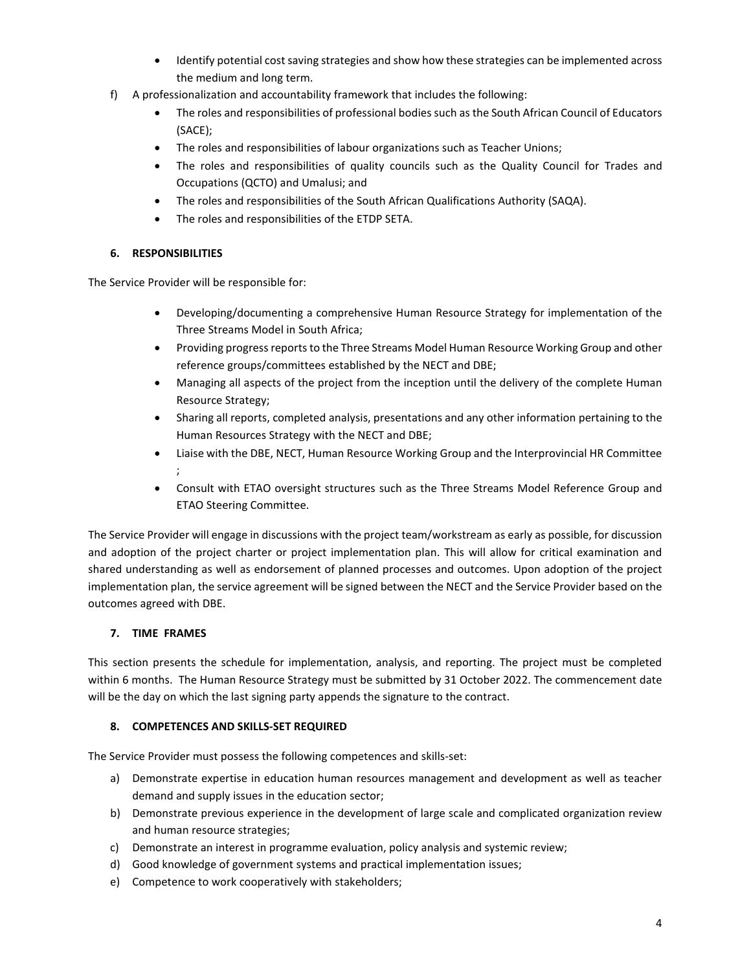- Identify potential cost saving strategies and show how these strategies can be implemented across the medium and long term.
- f) A professionalization and accountability framework that includes the following:
	- The roles and responsibilities of professional bodies such as the South African Council of Educators (SACE);
	- The roles and responsibilities of labour organizations such as Teacher Unions;
	- The roles and responsibilities of quality councils such as the Quality Council for Trades and Occupations (QCTO) and Umalusi; and
	- The roles and responsibilities of the South African Qualifications Authority (SAQA).
	- The roles and responsibilities of the ETDP SETA.

## **6. RESPONSIBILITIES**

The Service Provider will be responsible for:

- Developing/documenting a comprehensive Human Resource Strategy for implementation of the Three Streams Model in South Africa;
- Providing progress reports to the Three Streams Model Human Resource Working Group and other reference groups/committees established by the NECT and DBE;
- Managing all aspects of the project from the inception until the delivery of the complete Human Resource Strategy;
- Sharing all reports, completed analysis, presentations and any other information pertaining to the Human Resources Strategy with the NECT and DBE;
- Liaise with the DBE, NECT, Human Resource Working Group and the Interprovincial HR Committee ;
- Consult with ETAO oversight structures such as the Three Streams Model Reference Group and ETAO Steering Committee.

The Service Provider will engage in discussions with the project team/workstream as early as possible, for discussion and adoption of the project charter or project implementation plan. This will allow for critical examination and shared understanding as well as endorsement of planned processes and outcomes. Upon adoption of the project implementation plan, the service agreement will be signed between the NECT and the Service Provider based on the outcomes agreed with DBE.

## **7. TIME FRAMES**

This section presents the schedule for implementation, analysis, and reporting. The project must be completed within 6 months. The Human Resource Strategy must be submitted by 31 October 2022. The commencement date will be the day on which the last signing party appends the signature to the contract.

## **8. COMPETENCES AND SKILLS-SET REQUIRED**

The Service Provider must possess the following competences and skills-set:

- a) Demonstrate expertise in education human resources management and development as well as teacher demand and supply issues in the education sector;
- b) Demonstrate previous experience in the development of large scale and complicated organization review and human resource strategies;
- c) Demonstrate an interest in programme evaluation, policy analysis and systemic review;
- d) Good knowledge of government systems and practical implementation issues;
- e) Competence to work cooperatively with stakeholders;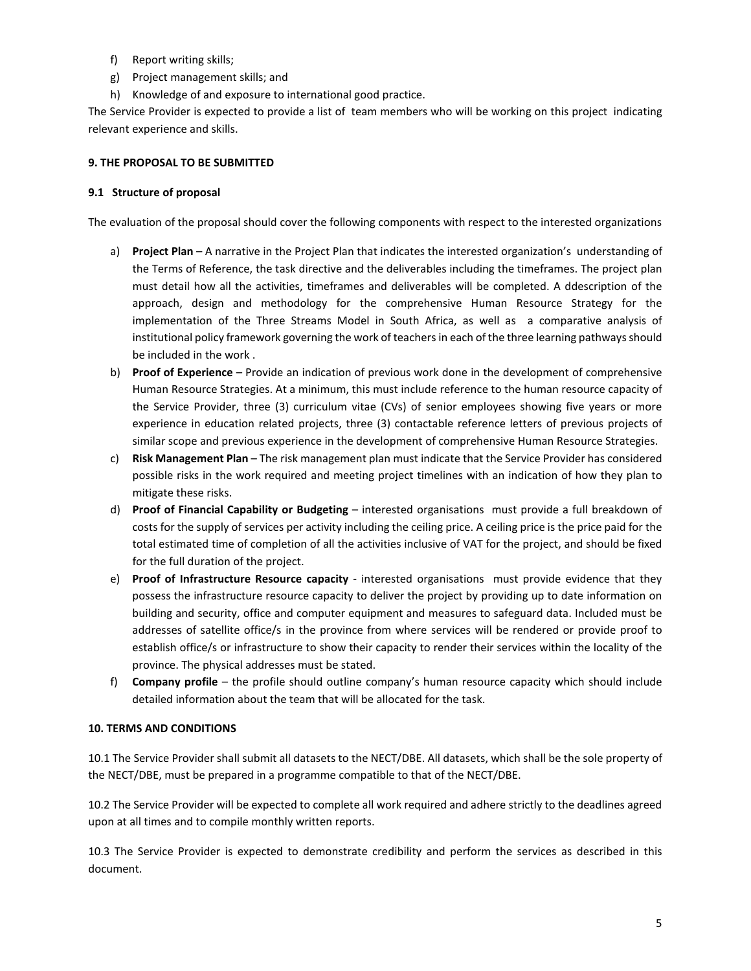- f) Report writing skills;
- g) Project management skills; and
- h) Knowledge of and exposure to international good practice.

The Service Provider is expected to provide a list of team members who will be working on this project indicating relevant experience and skills.

#### **9. THE PROPOSAL TO BE SUBMITTED**

#### **9.1 Structure of proposal**

The evaluation of the proposal should cover the following components with respect to the interested organizations

- a) **Project Plan** A narrative in the Project Plan that indicates the interested organization's understanding of the Terms of Reference, the task directive and the deliverables including the timeframes. The project plan must detail how all the activities, timeframes and deliverables will be completed. A ddescription of the approach, design and methodology for the comprehensive Human Resource Strategy for the implementation of the Three Streams Model in South Africa, as well as a comparative analysis of institutional policy framework governing the work of teachers in each of the three learning pathways should be included in the work .
- b) **Proof of Experience**  Provide an indication of previous work done in the development of comprehensive Human Resource Strategies. At a minimum, this must include reference to the human resource capacity of the Service Provider, three (3) curriculum vitae (CVs) of senior employees showing five years or more experience in education related projects, three (3) contactable reference letters of previous projects of similar scope and previous experience in the development of comprehensive Human Resource Strategies.
- c) **Risk Management Plan**  The risk management plan must indicate that the Service Provider has considered possible risks in the work required and meeting project timelines with an indication of how they plan to mitigate these risks.
- d) **Proof of Financial Capability or Budgeting** interested organisations must provide a full breakdown of costs for the supply of services per activity including the ceiling price. A ceiling price is the price paid for the total estimated time of completion of all the activities inclusive of VAT for the project, and should be fixed for the full duration of the project.
- e) **Proof of Infrastructure Resource capacity**  interested organisations must provide evidence that they possess the infrastructure resource capacity to deliver the project by providing up to date information on building and security, office and computer equipment and measures to safeguard data. Included must be addresses of satellite office/s in the province from where services will be rendered or provide proof to establish office/s or infrastructure to show their capacity to render their services within the locality of the province. The physical addresses must be stated.
- f) **Company profile** the profile should outline company's human resource capacity which should include detailed information about the team that will be allocated for the task.

#### **10. TERMS AND CONDITIONS**

10.1 The Service Provider shall submit all datasets to the NECT/DBE. All datasets, which shall be the sole property of the NECT/DBE, must be prepared in a programme compatible to that of the NECT/DBE.

10.2 The Service Provider will be expected to complete all work required and adhere strictly to the deadlines agreed upon at all times and to compile monthly written reports.

10.3 The Service Provider is expected to demonstrate credibility and perform the services as described in this document.